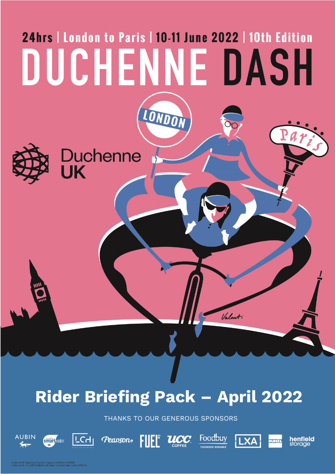# 24hrs | London to Paris | 10-11 June 2022 | 10th Edition DUCHENNE DASH LONDON Duchenne<br>UK Valent

# **Rider Briefing Pack – April 2022**

THANKS TO OUR GENEROUS SPONSORS

FUEL UCC

Foodbuy

**LXA** 

**henfield**<br>storage



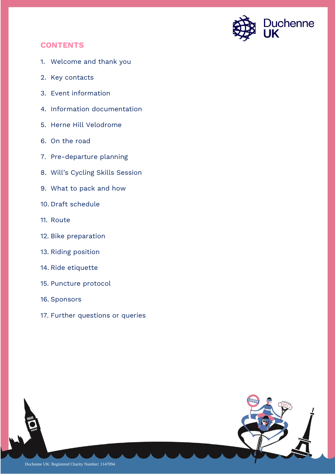

# **CONTENTS**

- 1. Welcome and thank you
- 2. Key contacts
- 3. Event information
- 4. Information documentation
- 5. Herne Hill Velodrome
- 6. On the road
- 7. Pre-departure planning
- 8. Will's Cycling Skills Session
- 9. What to pack and how
- 10. Draft schedule
- 11. Route
- 12. Bike preparation
- 13. Riding position
- 14. Ride etiquette
- 15. Puncture protocol
- 16. Sponsors
- 17. Further questions or queries

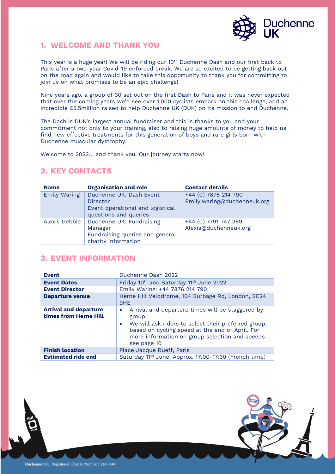

# **1. WELCOME AND THANK YOU**

This year is a huge year! We will be riding our 10th Duchenne Dash and our first back to Paris after a two-year Covid-19 enforced break. We are so excited to be getting back out on the road again and would like to take this opportunity to thank you for committing to join us on what promises to be an epic challenge!

Nine years ago, a group of 30 set out on the first Dash to Paris and it was never expected that over the coming years we'd see over 1,000 cyclists embark on this challenge, and an incredible £5.5million raised to help Duchenne UK (DUK) on its mission to end Duchenne.

The Dash is DUK's largest annual fundraiser and this is thanks to you and your commitment not only to your training, also to raising huge amounts of money to help us find new effective treatments for this generation of boys and rare girls born with Duchenne muscular dystrophy.

Welcome to 2022… and thank you. Our journey starts now!

# **2. KEY CONTACTS**

| <b>Name</b>         | <b>Organisation and role</b>                                                                            | <b>Contact details</b>                              |
|---------------------|---------------------------------------------------------------------------------------------------------|-----------------------------------------------------|
| <b>Emily Waring</b> | Duchenne UK: Dash Event<br><b>Director</b><br>Event operational and logistical<br>questions and queries | +44 (0) 7876 214 790<br>Emily.waring@duchenneuk.org |
| Alexis Gebbie       | Duchenne UK: Fundraising<br>Manager<br>Fundraising queries and general<br>charity information           | +44 (0) 7791 747 389<br>Alexis@duchenneuk.org       |

# **3. EVENT INFORMATION**

| <b>Event</b>                                          | Duchenne Dash 2022                                                                                                                                                                                                                                             |  |  |
|-------------------------------------------------------|----------------------------------------------------------------------------------------------------------------------------------------------------------------------------------------------------------------------------------------------------------------|--|--|
| <b>Event Dates</b>                                    | Friday 10 <sup>th</sup> and Saturday 11 <sup>th</sup> June 2022                                                                                                                                                                                                |  |  |
| <b>Event Director</b>                                 | Emily Waring: +44 7876 214 790                                                                                                                                                                                                                                 |  |  |
| <b>Departure venue</b>                                | Herne Hill Velodrome, 104 Burbage Rd, London, SE24<br>9HE                                                                                                                                                                                                      |  |  |
| <b>Arrival and departure</b><br>times from Herne Hill | Arrival and departure times will be staggered by<br>$\bullet$<br>group<br>We will ask riders to select their preferred group,<br>$\bullet$<br>based on cycling speed at the end of April. For<br>more information on group selection and speeds<br>see page 10 |  |  |
| <b>Finish location</b>                                | Place Jacque Rueff, Paris                                                                                                                                                                                                                                      |  |  |
| <b>Estimated ride end</b>                             | Saturday 11 <sup>th</sup> June: Approx. 17:00-17:30 (French time)                                                                                                                                                                                              |  |  |

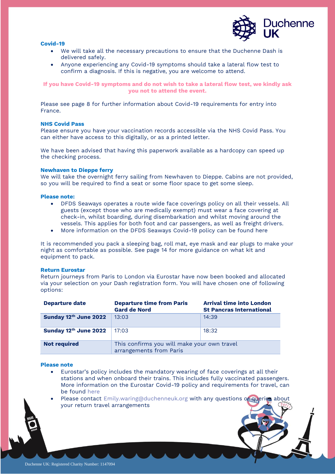#### **Covid-19**



- We will take all the necessary precautions to ensure that the Duchenne Dash is delivered safely.
- Anyone experiencing any Covid-19 symptoms should take a lateral flow test to confirm a diagnosis. If this is negative, you are welcome to attend.

**If you have Covid-19 symptoms and do not wish to take a lateral flow test, we kindly ask you not to attend the event.**

Please see page 8 for further information about Covid-19 requirements for entry into France.

#### **NHS Covid Pass**

Please ensure you have your vaccination records accessible via the [NHS Covid Pass.](https://www.gov.uk/guidance/nhs-covid-pass) You can either have access to this digitally, or as a printed letter.

We have been advised that having this paperwork available as a hardcopy can speed up the checking process.

#### **Newhaven to Dieppe ferry**

We will take the overnight ferry sailing from Newhaven to Dieppe. Cabins are not provided, so you will be required to find a seat or some floor space to get some sleep.

#### **Please note:**

- DFDS Seaways operates a route wide face coverings policy on all their vessels. All guests (except those who are medically exempt) must wear a face covering at check-in, whilst boarding, during disembarkation and whilst moving around the vessels. This applies for both foot and car passengers, as well as freight drivers.
- More information on the DFDS Seaways Covid-19 policy can be found [here](https://www.dfds.com/en-gb/passenger-ferries/corona-virus/updates/uk-france)

It is recommended you pack a sleeping bag, roll mat, eye mask and ear plugs to make your night as comfortable as possible. See page 14 for more guidance on what kit and equipment to pack.

#### **Return Eurostar**

Return journeys from Paris to London via Eurostar have now been booked and allocated via your selection on your Dash registration form. You will have chosen one of following options:

| <b>Departure date</b> | <b>Departure time from Paris</b><br><b>Gard de Nord</b>                | <b>Arrival time into London</b><br><b>St Pancras International</b> |
|-----------------------|------------------------------------------------------------------------|--------------------------------------------------------------------|
| Sunday 12th June 2022 | 13:03                                                                  | 14:39                                                              |
| Sunday 12th June 2022 | 17:03                                                                  | 18:32                                                              |
| <b>Not required</b>   | This confirms you will make your own travel<br>arrangements from Paris |                                                                    |

#### **Please note**

- Eurostar's policy includes the mandatory wearing of face coverings at all their stations and when onboard their trains. This includes fully vaccinated passengers. More information on the Eurostar Covid-19 policy and requirements for travel, can be found [here](/Users/emilywaring/Documents/Duchenne%20UK/Duchenne%20UK%20New%20-%20DASH/Dash%202022/Briefing%20documents/April/Riders/•%09https:/www.eurostar.com/uk-en/travel-info/travel-safe-with-eurostar/keeping-you-safe)
- Please contact  $Emily, warning@duchenneuk.org$  with any questions or queries your return travel arrangements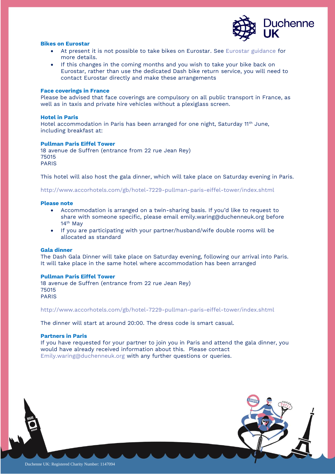

#### **Bikes on Eurostar**

- At present it is not possible to take bikes on Eurostar. See [Eurostar guidance](https://www.eurostar.com/uk-en/travel-info/travel-planning/luggage/bikes) for more details.
- If this changes in the coming months and you wish to take your bike back on Eurostar, rather than use the dedicated Dash bike return service, you will need to contact Eurostar directly and make these arrangements

#### **Face coverings in France**

Please be advised that face coverings are compulsory on all public transport in France, as well as in taxis and private hire vehicles without a plexiglass screen.

#### **Hotel in Paris**

Hotel accommodation in Paris has been arranged for one night, Saturday 11<sup>th</sup> June, including breakfast at:

#### **Pullman Paris Eiffel Tower**

18 avenue de Suffren (entrance from 22 rue Jean Rey) 75015 PARIS

This hotel will also host the gala dinner, which will take place on Saturday evening in Paris.

<http://www.accorhotels.com/gb/hotel-7229-pullman-paris-eiffel-tower/index.shtml>

#### **Please note**

- Accommodation is arranged on a twin-sharing basis. If you'd like to request to share with someone specific, please email [emily.waring@duchenneuk.org](mailto:emily.waring@duchenneuk.org) before 14<sup>th</sup> May
- If you are participating with your partner/husband/wife double rooms will be allocated as standard

#### **Gala dinner**

The Dash Gala Dinner will take place on Saturday evening, following our arrival into Paris. It will take place in the same hotel where accommodation has been arranged

#### **Pullman Paris Eiffel Tower**

18 avenue de Suffren (entrance from 22 rue Jean Rey) 75015 PARIS

<http://www.accorhotels.com/gb/hotel-7229-pullman-paris-eiffel-tower/index.shtml>

The dinner will start at around 20:00. The dress code is smart casual.

#### **Partners in Paris**

If you have requested for your partner to join you in Paris and attend the gala dinner, you would have already received information about this. Please contact [Emily.waring@duchenneuk.org](mailto:Emily.waring@duchenneuk.org) with any further questions or queries.

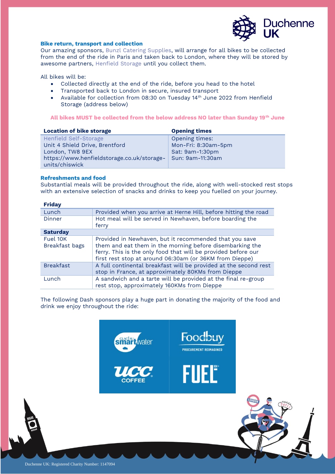

#### **Bike return, transport and collection**

Our amazing sponsors, [Bunzl Catering Supplies,](https://www.bunzlcatering.co.uk/) will arrange for all bikes to be collected from the end of the ride in Paris and taken back to London, where they will be stored by awesome partners, [Henfield Storage](https://www.henfieldstorage.co.uk/self-storage/london) until you collect them.

All bikes will be:

- Collected directly at the end of the ride, before you head to the hotel
- Transported back to London in secure, insured transport
- Available for collection from 08:30 on Tuesday 14<sup>th</sup> June 2022 from Henfield Storage (address below)

#### **All bikes MUST be collected from the below address NO later than Sunday 19th June**

| <b>Location of bike storage</b>            | <b>Opening times</b> |  |
|--------------------------------------------|----------------------|--|
| Henfield Self-Storage                      | Opening times:       |  |
| Unit 4 Shield Drive, Brentford             | Mon-Fri: 8:30am-5pm  |  |
| London, TW8 9EX                            | Sat: 9am-1:30pm      |  |
| https://www.henfieldstorage.co.uk/storage- | Sun: 9am-11:30am     |  |
| units/chiswick                             |                      |  |

#### **Refreshments and food**

Substantial meals will be provided throughout the ride, along with well-stocked rest stops with an extensive selection of snacks and drinks to keep you fuelled on your journey.

| <b>Friday</b>    |                                                                                                                                                                                      |
|------------------|--------------------------------------------------------------------------------------------------------------------------------------------------------------------------------------|
| Lunch            | Provided when you arrive at Herne Hill, before hitting the road                                                                                                                      |
| Dinner           | Hot meal will be served in Newhaven, before boarding the<br>ferry                                                                                                                    |
| <b>Saturday</b>  |                                                                                                                                                                                      |
| Fuel 10K         | Provided in Newhaven, but it recommended that you save                                                                                                                               |
| Breakfast bags   | them and eat them in the morning before disembarking the<br>ferry. This is the only food that will be provided before our<br>first rest stop at around 06:30am (or 36KM from Dieppe) |
| <b>Breakfast</b> | A full continental breakfast will be provided at the second rest<br>stop in France, at approximately 80KMs from Dieppe                                                               |
| <b>Lunch</b>     | A sandwich and a tarte will be provided at the final re-group<br>rest stop, approximately 160KMs from Dieppe                                                                         |

The following Dash sponsors play a huge part in donating the majority of the food and drink we enjoy throughout the ride:

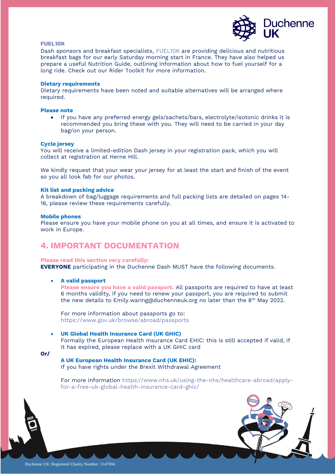

#### **[FUEL10K](https://fuel10k.com/)**

Dash sponsors and breakfast specialists, [FUEL10K](https://fuel10k.com/) are providing delicious and nutritious breakfast bags for our early Saturday morning start in France. They have also helped us prepare a useful Nutrition Guide, outlining information about how to fuel yourself for a long ride. Check out our Rider Toolkit for more information.

#### **Dietary requirements**

Dietary requirements have been noted and suitable alternatives will be arranged where required.

#### **Please note**

• If you have any preferred energy gels/sachets/bars, electrolyte/isotonic drinks it is recommended you bring these with you. They will need to be carried in your day bag/on your person.

#### **Cycle jersey**

You will receive a limited-edition Dash jersey in your registration pack, which you will collect at registration at Herne Hill.

We kindly request that your wear your jersey for at least the start and finish of the event so you all look fab for our photos.

#### **Kit list and packing advice**

A breakdown of bag/luggage requirements and full packing lists are detailed on pages 14- 16, please review these requirements carefully.

#### **Mobile phones**

Please ensure you have your mobile phone on you at all times, and ensure it is activated to work in Europe.

# **4. IMPORTANT DOCUMENTATION**

#### **Please read this section very carefully:**

**EVERYONE** participating in the Duchenne Dash MUST have the following documents.

#### • **A valid passport**

**Please ensure you have a valid passport.** All passports are required to have at least 6 months validity, if you need to renew your passport, you are required to submit the new details to [Emily.waring@duchenneuk.org](mailto:Emily.waring@duchenneuk.org) no later than the 8<sup>th</sup> May 2022.

For more information about passports go to: <https://www.gov.uk/browse/abroad/passports>

#### • **UK Global Health Insurance Card (UK GHIC)**

Formally the European Health Insurance Card EHIC: this is still accepted if valid, if it has expired, please replace with a UK GHIC card

**Or/** 

#### **A UK European Health Insurance Card (UK EHIC):**  If you have rights under the Brexit Withdrawal Agreement

For more information [https://www.nhs.uk/using-the-nhs/healthcare-abroad/apply](https://www.nhs.uk/using-the-nhs/healthcare-abroad/apply-for-a-free-uk-global-health-insurance-card-ghic/)[for-a-free-uk-global-health-insurance-card-ghic/](https://www.nhs.uk/using-the-nhs/healthcare-abroad/apply-for-a-free-uk-global-health-insurance-card-ghic/)

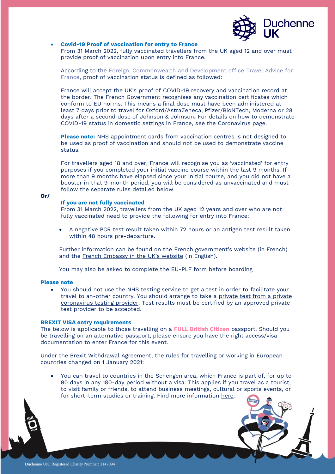

#### • **Covid-19 Proof of vaccination for entry to France**

From 31 March 2022, fully vaccinated travellers from the UK aged 12 and over must provide proof of vaccination upon entry into France.

According to the [Foreign, Commonwealth and Development office Travel Advice for](https://www.gov.uk/foreign-travel-advice/france/entry-requirements)  [France,](https://www.gov.uk/foreign-travel-advice/france/entry-requirements) proof of vaccination status is defined as followed:

France will accept the UK's proof of [COVID-19 recovery and vaccination record](https://www.gov.uk/guidance/demonstrating-your-covid-19-status) at the border. The French Government recognises any vaccination certificates which conform to EU norms. This means a final dose must have been administered at least 7 days prior to travel for Oxford/AstraZeneca, Pfizer/BioNTech, Moderna or 28 days after a second dose of Johnson & Johnson**.** For details on how to demonstrate COVID-19 status in domestic settings in France, see the [Coronavirus page.](https://www.gov.uk/foreign-travel-advice/france/coronavirus#public-spaces-and-services)

**Please note:** NHS appointment cards from vaccination centres is not designed to be used as proof of vaccination and should not be used to demonstrate vaccine status.

For travellers aged 18 and over, France will recognise you as 'vaccinated' for entry purposes if you completed your initial vaccine course within the last 9 months. If more than 9 months have elapsed since your initial course, and you did not have a booster in that 9-month period, you will be considered as unvaccinated and must follow the separate rules detailed below

#### **Or/**

#### **If you are not fully vaccinated**

From 31 March 2022, travellers from the UK aged 12 years and over who are not fully vaccinated need to provide the following for entry into France:

• A negative PCR test result taken within 72 hours or an antigen test result taken within 48 hours pre-departure.

Further information can be found on the [French government's website](https://www.interieur.gouv.fr/covid-19-deplacements-internationaux) (in French) and the [French Embassy in the UK's website](https://uk.ambafrance.org/COVID-19-rules-for-travel-between-France-and-the-UK-28918#t1-Travelling-from-the-UK-to-France) (in English).

You may also be asked to complete the [EU-PLF form](https://app.euplf.eu/#/) before boarding

#### **Please note**

• You should not use the NHS testing service to get a test in order to facilitate your travel to an-other country. You should arrange to take a private test from a private [coronavirus testing provider.](https://www.gov.uk/government/publications/list-of-private-providers-of-coronavirus-testing/list-of-private-providers-of-coronavirus-testing) Test results must be certified by an approved private test provider to be accepted.

#### **BREXIT VISA entry requirements**

The below is applicable to those travelling on a **FULL British Citizen** passport. Should you be travelling on an alternative passport, please ensure you have the right access/visa documentation to enter France for this event.

Under the Brexit Withdrawal Agreement, the rules for travelling or working in European countries changed on 1 January 2021:

• You can travel to countries in the Schengen area, which France is part of, for up to 90 days in any 180-day period without a visa. This applies if you travel as a tourist, to visit family or friends, to attend business meetings, cultural or sports events, or for short-term studies or training. Find more information [here.](https://france-visas.gouv.fr/en_US/web/france-visas/welcome-page)

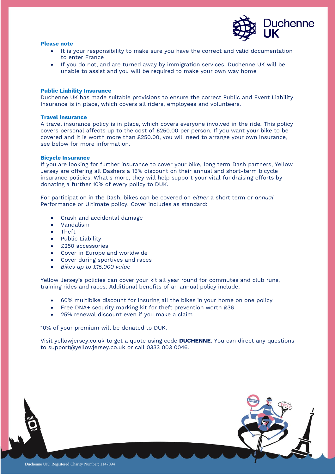

#### **Please note**

- It is your responsibility to make sure you have the correct and valid documentation to enter France
- If you do not, and are turned away by immigration services, Duchenne UK will be unable to assist and you will be required to make your own way home

#### **Public Liability Insurance**

Duchenne UK has made suitable provisions to ensure the correct Public and Event Liability Insurance is in place, which covers all riders, employees and volunteers.

#### **Travel insurance**

A travel insurance policy is in place, which covers everyone involved in the ride. This policy covers personal affects up to the cost of £250.00 per person. If you want your bike to be covered and it is worth more than £250.00, you will need to arrange your own insurance, see below for more information.

#### **Bicycle Insurance**

If you are looking for further insurance to cover your bike, long term Dash partners, Yellow Jersey are offering all Dashers a 15% discount on their annual and short-term bicycle insurance policies. What's more, they will help support your vital fundraising efforts by donating a further 10% of every policy to DUK.

For participation in the Dash, bikes can be covered on *either* a short term or *annual* [Performance](https://www.yellowjersey.co.uk/performance/?ref=duchenneuk) or [Ultimate p](https://www.yellowjersey.co.uk/ultimate/?ref=duchenneuk)olicy. Cover includes as standard:

- Crash and accidental damage
- Vandalism
- Theft
- Public Liability
- £250 accessories
- Cover in Europe and worldwide
- Cover during sportives and races
- *Bikes up to £15,000 value*

Yellow Jersey's policies can cover your kit all year round for commutes and club runs, training rides and races. Additional benefits of an annual policy include:

- 60% multibike discount for insuring all the bikes in your home on one policy
- Free DNA+ security marking kit for theft prevention worth £36
- 25% renewal discount even if you make a claim

10% of your premium will be donated to DUK.

Visit [yellowjersey.co.uk](https://www.yellowjersey.co.uk/?ref=duchenneuk) to get a quote using code **DUCHENNE**. You can direct any questions to [support@yellowjersey.co.uk](mailto:support@yellowjersey.co.uk) or call 0333 003 0046.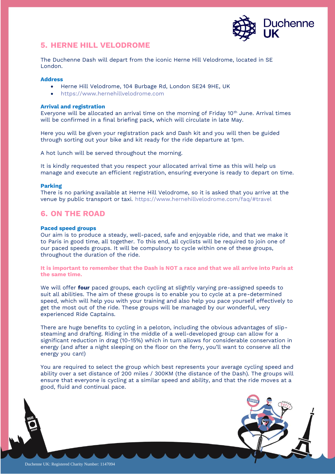

# **5. HERNE HILL VELODROME**

The Duchenne Dash will depart from the iconic Herne Hill Velodrome, located in SE London.

#### **Address**

- Herne Hill Velodrome, 104 Burbage Rd, London SE24 9HE, UK
- [https://www.hernehillvelodrome.com](https://www.hernehillvelodrome.com/)

#### **Arrival and registration**

Everyone will be allocated an arrival time on the morning of Friday  $10<sup>th</sup>$  June. Arrival times will be confirmed in a final briefing pack, which will circulate in late May.

Here you will be given your registration pack and Dash kit and you will then be guided through sorting out your bike and kit ready for the ride departure at 1pm.

A hot lunch will be served throughout the morning.

It is kindly requested that you respect your allocated arrival time as this will help us manage and execute an efficient registration, ensuring everyone is ready to depart on time.

#### **Parking**

There is no parking available at Herne Hill Velodrome, so it is asked that you arrive at the venue by public transport or taxi.<https://www.hernehillvelodrome.com/faq/#travel>

# **6. ON THE ROAD**

#### **Paced speed groups**

Our aim is to produce a steady, well-paced, safe and enjoyable ride, and that we make it to Paris in good time, all together. To this end, all cyclists will be required to join one of our paced speeds groups. It will be compulsory to cycle within one of these groups, throughout the duration of the ride.

#### **It is important to remember that the Dash is NOT a race and that we all arrive into Paris at the same time.**

We will offer **four** paced groups, each cycling at slightly varying pre-assigned speeds to suit all abilities. The aim of these groups is to enable you to cycle at a pre-determined speed, which will help you with your training and also help you pace yourself effectively to get the most out of the ride. These groups will be managed by our wonderful, very experienced Ride Captains.

There are huge benefits to cycling in a peloton, including the obvious advantages of slipsteaming and drafting. Riding in the middle of a well-developed group can allow for a significant reduction in drag (10-15%) which in turn allows for considerable conservation in energy (and after a night sleeping on the floor on the ferry, you'll want to conserve all the energy you can!)

You are required to select the group which best represents your average cycling speed and ability over a set distance of 200 miles / 300KM (the distance of the Dash). The groups will ensure that everyone is cycling at a similar speed and ability, and that the ride moves at a good, fluid and continual pace.

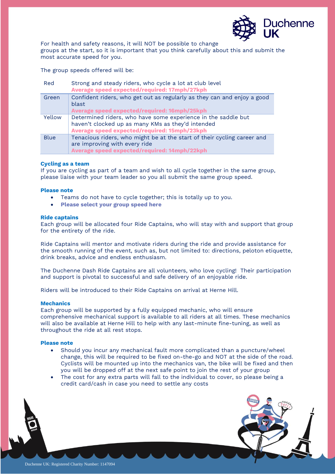

For health and safety reasons, it will NOT be possible to change groups at the start, so it is important that you think carefully about this and submit the most accurate speed for you.

The group speeds offered will be:

| Red         | Strong and steady riders, who cycle a lot at club level<br>Average speed expected/required: 17mph/27kph                                                            |
|-------------|--------------------------------------------------------------------------------------------------------------------------------------------------------------------|
| Green       | Confident riders, who get out as regularly as they can and enjoy a good<br>blast<br>Average speed expected/required: 16mph/25kph                                   |
| Yellow      | Determined riders, who have some experience in the saddle but<br>haven't clocked up as many KMs as they'd intended<br>Average speed expected/required: 15mph/23kph |
| <b>Blue</b> | Tenacious riders, who might be at the start of their cycling career and<br>are improving with every ride<br>Average speed expected/required: 14mph/22kph           |

#### **Cycling as a team**

If you are cycling as part of a team and wish to all cycle together in the same group, please liaise with your team leader so you all submit the same group speed.

#### **Please note**

- Teams do not have to cycle together; this is totally up to you.
- **[Please select your group speed here](https://forms.gle/wkH189nNhhe4jvDJ8)**

#### **Ride captains**

Each group will be allocated four Ride Captains, who will stay with and support that group for the entirety of the ride.

Ride Captains will mentor and motivate riders during the ride and provide assistance for the smooth running of the event, such as, but not limited to: directions, peloton etiquette, drink breaks, advice and endless enthusiasm.

The Duchenne Dash Ride Captains are all volunteers, who love cycling! Their participation and support is pivotal to successful and safe delivery of an enjoyable ride.

Riders will be introduced to their Ride Captains on arrival at Herne Hill.

#### **Mechanics**

Each group will be supported by a fully equipped mechanic, who will ensure comprehensive mechanical support is available to all riders at all times. These mechanics will also be available at Herne Hill to help with any last-minute fine-tuning, as well as throughout the ride at all rest stops.

#### **Please note**

- Should you incur any mechanical fault more complicated than a puncture/wheel change, this will be required to be fixed on-the-go and NOT at the side of the road. Cyclists will be mounted up into the mechanics van, the bike will be fixed and then you will be dropped off at the next safe point to join the rest of your group
- The cost for any extra parts will fall to the individual to cover, so please being a credit card/cash in case you need to settle any costs

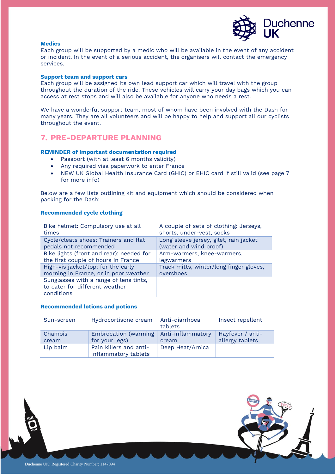

#### **Medics**

Each group will be supported by a medic who will be available in the event of any accident or incident. In the event of a serious accident, the organisers will contact the emergency services.

#### **Support team and support cars**

Each group will be assigned its own lead support car which will travel with the group throughout the duration of the ride. These vehicles will carry your day bags which you can access at rest stops and will also be available for anyone who needs a rest.

We have a wonderful support team, most of whom have been involved with the Dash for many years. They are all volunteers and will be happy to help and support all our cyclists throughout the event.

# **7. PRE-DEPARTURE PLANNING**

#### **REMINDER of important documentation required**

- Passport (with at least 6 months validity)
- Any required visa paperwork to enter France
- NEW UK Global Health Insurance Card (GHIC) or EHIC card if still valid (see page 7 for more info)

Below are a few lists outlining kit and equipment which should be considered when packing for the Dash:

#### **Recommended cycle clothing**

| Bike helmet: Compulsory use at all                                                     | A couple of sets of clothing: Jerseys,  |
|----------------------------------------------------------------------------------------|-----------------------------------------|
| times                                                                                  | shorts, under-vest, socks               |
| Cycle/cleats shoes: Trainers and flat                                                  | Long sleeve jersey, gilet, rain jacket  |
| pedals not recommended                                                                 | (water and wind proof)                  |
| Bike lights (front and rear): needed for                                               | Arm-warmers, knee-warmers,              |
| the first couple of hours in France                                                    | legwarmers                              |
| High-vis jacket/top: for the early                                                     | Track mitts, winter/long finger gloves, |
| morning in France, or in poor weather                                                  | overshoes                               |
| Sunglasses with a range of lens tints,<br>to cater for different weather<br>conditions |                                         |

#### **Recommended lotions and potions**

| Sun-screen       | Hydrocortisone cream Anti-diarrhoea                        | tablets          | Insect repellent                    |
|------------------|------------------------------------------------------------|------------------|-------------------------------------|
| Chamois<br>cream | Embrocation (warming   Anti-inflammatory<br>for your legs) | cream            | Hayfever / anti-<br>allergy tablets |
| Lip balm         | Pain killers and anti-<br>inflammatory tablets             | Deep Heat/Arnica |                                     |

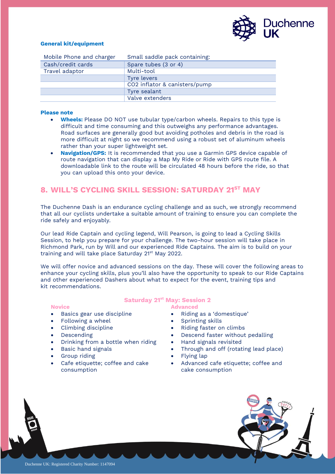

#### **General kit/equipment**

| Mobile Phone and charger | Small saddle pack containing: |
|--------------------------|-------------------------------|
| Cash/credit cards        | Spare tubes (3 or 4)          |
| Travel adaptor           | Multi-tool                    |
|                          | Tyre levers                   |
|                          | CO2 inflator & canisters/pump |
|                          | Tyre sealant                  |
|                          | Valve extenders               |

#### **Please note**

- **Wheels:** Please DO NOT use tubular type/carbon wheels. Repairs to this type is difficult and time consuming and this outweighs any performance advantages. Road surfaces are generally good but avoiding potholes and debris in the road is more difficult at night so we recommend using a robust set of aluminum wheels rather than your super lightweight set.
- **Navigation/GPS:** It is recommended that you use a Garmin GPS device capable of route navigation that can display a Map My Ride or Ride with GPS route file. A downloadable link to the route will be circulated 48 hours before the ride, so that you can upload this onto your device.

# **8. WILL'S CYCLING SKILL SESSION: SATURDAY 21ST MAY**

The Duchenne Dash is an endurance cycling challenge and as such, we strongly recommend that all our cyclists undertake a suitable amount of training to ensure you can complete the ride safely and enjoyably.

Our lead Ride Captain and cycling legend, Will Pearson, is going to lead a Cycling Skills Session, to help you prepare for your challenge. The two-hour session will take place in Richmond Park, run by Will and our experienced Ride Captains. The aim is to build on your training and will take place Saturday 21<sup>st</sup> May 2022.

We will offer novice and advanced sessions on the day. These will cover the following areas to enhance your cycling skills, plus you'll also have the opportunity to speak to our Ride Captains and other experienced Dashers about what to expect for the event, training tips and kit recommendations.

#### **Novice**

- Basics gear use discipline
- Following a wheel
- Climbing discipline
- Descending
- Drinking from a bottle when riding
- Basic hand signals
- Group riding
- Cafe etiquette; coffee and cake consumption

#### **Saturday 21 st May: Session 2**

#### **Advanced**

- Riding as a 'domestique'
- Sprinting skills
- Riding faster on climbs
- Descend faster without pedalling
- Hand signals revisited
- Through and off (rotating lead place)
- Flying lap
- Advanced cafe etiquette; coffee and cake consumption

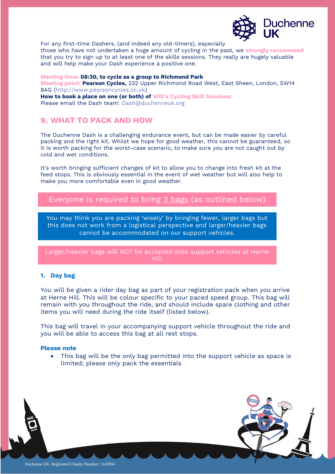

For any first-time Dashers, (and indeed any old-timers), especially

those who have not undertaken a huge amount of cycling in the past, we **strongly recommend** that you try to sign up to at least one of the skills sessions. They really are hugely valuable and will help make your Dash experience a positive one.

**Meeting time: 08:30, to cycle as a group to Richmond Park Meeting point: Pearson Cycles,** 232 Upper Richmond Road West, East Sheen, London, SW14 8AG [\(http://www.pearsoncycles.co.uk\)](http://www.pearsoncycles.co.uk/) **How to book a place on one (or both) of Will's Cycling Skill Sessions:**  Please email the Dash team: [Dash@duchenneuk.org](mailto:Dash@duchenneuk.org)

# **9. WHAT TO PACK AND HOW**

The Duchenne Dash is a challenging endurance event, but can be made easier by careful packing and the right kit. Whilst we hope for good weather, this cannot be guaranteed, so it is worth packing for the worst-case scenario, to make sure you are not caught out by cold and wet conditions.

It's worth bringing sufficient changes of kit to allow you to change into fresh kit at the feed stops. This is obviously essential in the event of wet weather but will also help to make you more comfortable even in good weather.

Everyone is required to bring 3 bags (as outlined below)

You may think you are packing 'wisely' by bringing fewer, larger bags but this does not work from a logistical perspective and larger/heavier bags cannot be accommodated on our support vehicles.

Larger/heavier bags will NOT be accepted onto support vehicles at Herne Hill

## **1. Day bag**

You will be given a rider day bag as part of your registration pack when you arrive at Herne Hill. This will be colour specific to your paced speed group. This bag will remain with you throughout the ride, and should include spare clothing and other items you will need during the ride itself (listed below).

This bag will travel in your accompanying support vehicle throughout the ride and you will be able to access this bag at all rest stops.

#### **Please note**

• This bag will be the only bag permitted into the support vehicle as space is limited; please only pack the essentials

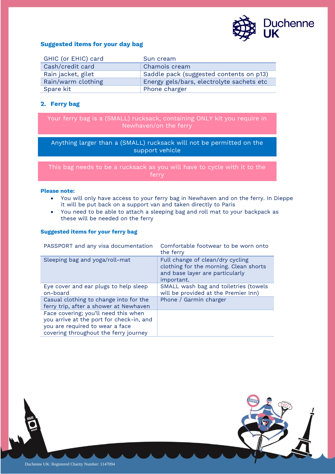

#### **Suggested items for your day bag**

| GHIC (or EHIC) card | Sun cream                                 |
|---------------------|-------------------------------------------|
| Cash/credit card    | Chamois cream                             |
| Rain jacket, gilet  | Saddle pack (suggested contents on p13)   |
| Rain/warm clothing  | Energy gels/bars, electrolyte sachets etc |
| Spare kit           | Phone charger                             |

# **2. Ferry bag**

Your ferry bag is a (SMALL) rucksack, containing ONLY kit you require in Newhaven/on the ferry

Anything larger than a (SMALL) rucksack will not be permitted on the support vehicle

This bag needs to be a rucksack as you will have to cycle with it to the

#### **Please note:**

- You will only have access to your ferry bag in Newhaven and on the ferry. In Dieppe it will be put back on a support van and taken directly to Paris
- You need to be able to attach a sleeping bag and roll mat to your backpack as these will be needed on the ferry

### **Suggested items for your ferry bag**

| PASSPORT and any visa documentation                                                                                                                          | Comfortable footwear to be worn onto<br>the ferry                                                                           |  |
|--------------------------------------------------------------------------------------------------------------------------------------------------------------|-----------------------------------------------------------------------------------------------------------------------------|--|
| Sleeping bag and yoga/roll-mat                                                                                                                               | Full change of clean/dry cycling<br>clothing for the morning. Clean shorts<br>and base layer are particularly<br>important. |  |
| Eye cover and ear plugs to help sleep<br>on-board                                                                                                            | SMALL wash bag and toiletries (towels<br>will be provided at the Premier Inn)                                               |  |
| Casual clothing to change into for the<br>ferry trip, after a shower at Newhaven                                                                             | Phone / Garmin charger                                                                                                      |  |
| Face covering; you'll need this when<br>you arrive at the port for check-in, and<br>you are required to wear a face<br>covering throughout the ferry journey |                                                                                                                             |  |

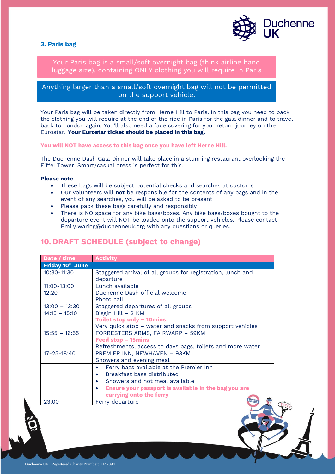#### **3. Paris bag**



Your Paris bag is a small/soft overnight bag (think airline hand luggage size), containing ONLY clothing you will require in Paris

Anything larger than a small/soft overnight bag will not be permitted on the support vehicle.

Your Paris bag will be taken directly from Herne Hill to Paris. In this bag you need to pack the clothing you will require at the end of the ride in Paris for the gala dinner and to travel back to London again. You'll also need a face covering for your return journey on the Eurostar. **Your Eurostar ticket should be placed in this bag.**

**You will NOT have access to this bag once you have left Herne Hill.** 

The Duchenne Dash Gala Dinner will take place in a stunning restaurant overlooking the Eiffel Tower. Smart/casual dress is perfect for this.

#### **Please note**

- These bags will be subject potential checks and searches at customs
- Our volunteers will **not** be responsible for the contents of any bags and in the event of any searches, you will be asked to be present
- Please pack these bags carefully and responsibly
- There is NO space for any bike bags/boxes. Any bike bags/boxes bought to the departure event will NOT be loaded onto the support vehicles. Please contact [Emily.waring@duchenneuk.org](mailto:Emily.waring@duchenneuk.org) with any questions or queries.

|  | <b>10. DRAFT SCHEDULE (subject to change)</b> |  |
|--|-----------------------------------------------|--|
|  |                                               |  |

| Date / time       | <b>Activity</b>                                             |  |  |  |
|-------------------|-------------------------------------------------------------|--|--|--|
| Friday 10th June  |                                                             |  |  |  |
| $10:30 - 11:30$   | Staggered arrival of all groups for registration, lunch and |  |  |  |
|                   | departure                                                   |  |  |  |
| $11:00 - 13:00$   | Lunch available                                             |  |  |  |
| 12:20             | Duchenne Dash official welcome                              |  |  |  |
|                   | Photo call                                                  |  |  |  |
| $13:00 - 13:30$   | Staggered departures of all groups                          |  |  |  |
| $14:15 - 15:10$   | Biggin Hill - 21KM                                          |  |  |  |
|                   | <b>Toilet stop only - 10mins</b>                            |  |  |  |
|                   | Very quick stop – water and snacks from support vehicles    |  |  |  |
| $15:55 - 16:55$   | FORRESTERS ARMS, FAIRWARP - 59KM                            |  |  |  |
|                   | Feed stop - 15mins                                          |  |  |  |
|                   | Refreshments, access to days bags, toilets and more water   |  |  |  |
| $17 - 25 - 18:40$ | PREMIER INN, NEWHAVEN - 93KM                                |  |  |  |
|                   | Showers and evening meal                                    |  |  |  |
|                   | Ferry bags available at the Premier Inn                     |  |  |  |
|                   | Breakfast bags distributed                                  |  |  |  |
|                   | Showers and hot meal available                              |  |  |  |
|                   | Ensure your passport is available in the bag you are        |  |  |  |
|                   | carrying onto the ferry                                     |  |  |  |
| 23:00             | LONDON<br>Ferry departure                                   |  |  |  |
|                   |                                                             |  |  |  |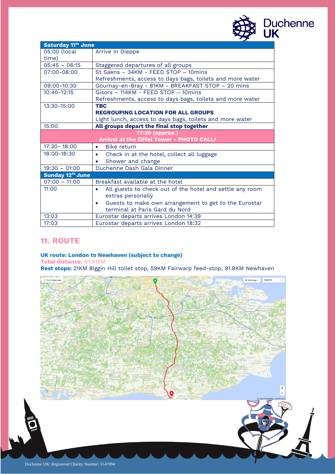

| <b>Saturday 11th June</b>    |                                                                       |  |  |  |
|------------------------------|-----------------------------------------------------------------------|--|--|--|
| 05:00 (local                 | Arrive in Dieppe                                                      |  |  |  |
| time)                        |                                                                       |  |  |  |
| $05:45 - 06:15$              | Staggered departures of all groups                                    |  |  |  |
| 07:00-08:00                  | St Saens - 34KM - FEED STOP - 10mins                                  |  |  |  |
|                              | Refreshments, access to days bags, toilets and more water             |  |  |  |
| 09:00-10:30                  | Gournay-en-Bray - 81KM - BREAKFAST STOP - 20 mins                     |  |  |  |
| $10:40 - 12:15$              | Gisors - 114KM - FEED STOP - 10mins                                   |  |  |  |
|                              | Refreshments, access to days bags, toilets and more water             |  |  |  |
| 13:30-15:00                  | <b>TBC</b>                                                            |  |  |  |
|                              | <b>REGROUPING LOCATION FOR ALL GROUPS</b>                             |  |  |  |
|                              | Light lunch, access to days bags, toilets and more water              |  |  |  |
| 15:00                        | All groups depart the final stop together                             |  |  |  |
| 17:30 (approx.)              |                                                                       |  |  |  |
|                              | Arrival at the Eiffel Tower - PHOTO CALL!                             |  |  |  |
| $17:30 - 18:00$              | <b>Bike return</b><br>$\bullet$                                       |  |  |  |
| 18:00-18:30                  | Check in at the hotel, collect all luggage<br>$\bullet$               |  |  |  |
|                              | Shower and change                                                     |  |  |  |
| $19:30 - 01:00$              | Duchenne Dash Gala Dinner                                             |  |  |  |
| Sunday 12 <sup>th</sup> June |                                                                       |  |  |  |
| $07:00 - 11:00$              | Breakfast available at the hotel                                      |  |  |  |
| 11:00                        | All guests to check out of the hotel and settle any room<br>$\bullet$ |  |  |  |
|                              | extras personally                                                     |  |  |  |
|                              | Guests to make own arrangement to get to the Eurostar<br>$\bullet$    |  |  |  |
|                              | terminal at Paris Gard du Nord                                        |  |  |  |
| 13:03                        | Eurostar departs arrives London 14:39                                 |  |  |  |
| 17:03                        | Eurostar departs arrives London 18:32                                 |  |  |  |

# **11. ROUTE**

**UK route: London to Newhaven (subject to change)** 

**Total distance:** 91.81KM

**Rest stops:** 21KM Biggin Hill toilet stop, 59KM Fairwarp feed-stop, 91.8KM Newhaven

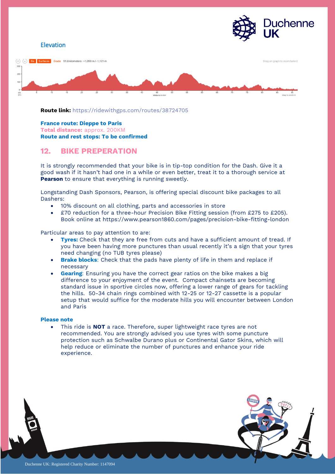

**Route link:** <https://ridewithgps.com/routes/38724705>

#### **France route: Dieppe to Paris**

**Total distance:** approx. 200KM **Route and rest stops: To be confirmed** 

# **12. BIKE PREPERATION**

It is strongly recommended that your bike is in tip-top condition for the Dash. Give it a good wash if it hasn't had one in a while or even better, treat it to a thorough service at **[Pearson](https://www.pearson1860.com/)** to ensure that everything is running sweetly.

Longstanding Dash Sponsors, Pearson, is offering special discount bike packages to all Dashers:

- 10% discount on all clothing, parts and accessories in store
- £70 reduction for a three-hour Precision Bike Fitting session (from £275 to £205). Book online at<https://www.pearson1860.com/pages/precision-bike-fitting-london>

Particular areas to pay attention to are:

- **Tyres:** Check that they are free from cuts and have a sufficient amount of tread. If you have been having more punctures than usual recently it's a sign that your tyres need changing (no TUB tyres please)
- **Brake blocks:** Check that the pads have plenty of life in them and replace if necessary
- **Gearing:** Ensuring you have the correct gear ratios on the bike makes a big difference to your enjoyment of the event. Compact chainsets are becoming standard issue in sportive circles now, offering a lower range of gears for tackling the hills. 50-34 chain rings combined with 12-25 or 12-27 cassette is a popular setup that would suffice for the moderate hills you will encounter between London and Paris

#### **Please note**

• This ride is **NOT** a race. Therefore, super lightweight race tyres are not recommended. You are strongly advised you use tyres with some puncture protection such as Schwalbe Durano plus or Continental Gator Skins, which will help reduce or eliminate the number of punctures and enhance your ride experience.

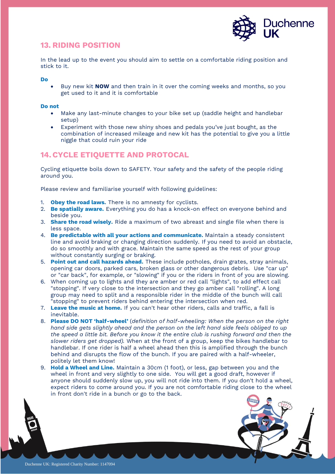

# **13. RIDING POSITION**

In the lead up to the event you should aim to settle on a comfortable riding position and stick to it.

**Do**

• Buy new kit **NOW** and then train in it over the coming weeks and months, so you get used to it and it is comfortable

#### **Do not**

- Make any last-minute changes to your bike set up (saddle height and handlebar setup)
- Experiment with those new shiny shoes and pedals you've just bought, as the combination of increased mileage and new kit has the potential to give you a little niggle that could ruin your ride

# **14.CYCLE ETIQUETTE AND PROTOCAL**

Cycling etiquette boils down to SAFETY. Your safety and the safety of the people riding around you.

Please review and familiarise yourself with following guidelines:

- 1. **Obey the road laws.** There is no amnesty for cyclists.
- 2. **Be spatially aware.** Everything you do has a knock-on effect on everyone behind and beside you.
- 3. **Share the road wisely.** Ride a maximum of two abreast and single file when there is less space.
- 4. **Be predictable with all your actions and communicate.** Maintain a steady consistent line and avoid braking or changing direction suddenly. If you need to avoid an obstacle, do so smoothly and with grace. Maintain the same speed as the rest of your group without constantly surging or braking.
- 5. **Point out and call hazards ahead.** These include potholes, drain grates, stray animals, opening car doors, parked cars, broken glass or other dangerous debris. Use "car up" or "car back", for example, or "slowing" if you or the riders in front of you are slowing.
- 6. When coming up to lights and they are amber or red call "lights", to add effect call "stopping". If very close to the intersection and they go amber call "rolling". A long group may need to split and a responsible rider in the middle of the bunch will call "stopping" to prevent riders behind entering the intersection when red.
- 7. **Leave the music at home.** If you can't hear other riders, calls and traffic, a fall is inevitable.
- 8. **Please DO NOT 'half-wheel'** (*definition of half-wheeling: When the person on the right hand side gets slightly ahead and the person on the left hand side feels obliged to up the speed a little bit. Before you know it the entire club is rushing forward and then the slower riders get dropped).* When at the front of a group, keep the bikes handlebar to handlebar. If one rider is half a wheel ahead then this is amplified through the bunch behind and disrupts the flow of the bunch. If you are paired with a half-wheeler, politely let them know!
- 9. **Hold a Wheel and Line.** Maintain a 30cm (1 foot), or less, gap between you and the wheel in front and very slightly to one side. You will get a good draft, however if anyone should suddenly slow up, you will not ride into them. If you don't hold a wheel, expect riders to come around you. If you are not comfortable riding close to the wheel in front don't ride in a bunch or go to the back.

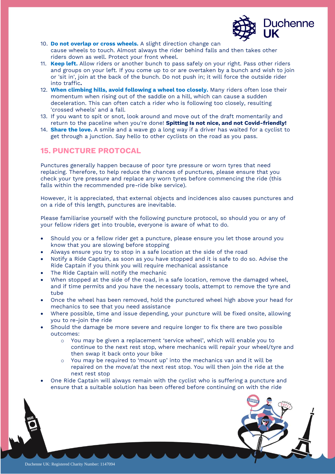

- 10. **Do not overlap or cross wheels.** A slight direction change can cause wheels to touch. Almost always the rider behind falls and then takes other riders down as well. Protect your front wheel.
- 11. **Keep left.** Allow riders or another bunch to pass safely on your right. Pass other riders and groups on your left. If you come up to or are overtaken by a bunch and wish to join or 'sit in', join at the back of the bunch. Do not push in; it will force the outside rider into traffic**.**
- 12. **When climbing hills, avoid following a wheel too closely.** Many riders often lose their momentum when rising out of the saddle on a hill, which can cause a sudden deceleration. This can often catch a rider who is following too closely, resulting 'crossed wheels' and a fall.
- 13. If you want to spit or snot, look around and move out of the draft momentarily and return to the paceline when you're done! **Spitting Is not nice, and not Covid-friendly!**
- 14. **Share the love.** A smile and a wave go a long way if a driver has waited for a cyclist to get through a junction. Say hello to other cyclists on the road as you pass.

# **15. PUNCTURE PROTOCAL**

Punctures generally happen because of poor tyre pressure or worn tyres that need replacing. Therefore, to help reduce the chances of punctures, please ensure that you check your tyre pressure and replace any worn tyres before commencing the ride (this falls within the recommended pre-ride bike service).

However, it is appreciated, that external objects and incidences also causes punctures and on a ride of this length, punctures are inevitable.

Please familiarise yourself with the following puncture protocol, so should you or any of your fellow riders get into trouble, everyone is aware of what to do.

- Should you or a fellow rider get a puncture, please ensure you let those around you know that you are slowing before stopping
- Always ensure you try to stop in a safe location at the side of the road
- Notify a Ride Captain, as soon as you have stopped and it is safe to do so. Advise the Ride Captain if you think you will require mechanical assistance
- The Ride Captain will notify the mechanic
- When stopped at the side of the road, in a safe location, remove the damaged wheel, and if time permits and you have the necessary tools, attempt to remove the tyre and tube
- Once the wheel has been removed, hold the punctured wheel high above your head for mechanics to see that you need assistance
- Where possible, time and issue depending, your puncture will be fixed onsite, allowing you to re-join the ride
- Should the damage be more severe and require longer to fix there are two possible outcomes:
	- o You may be given a replacement 'service wheel', which will enable you to continue to the next rest stop, where mechanics will repair your wheel/tyre and then swap it back onto your bike
	- o You may be required to 'mount up' into the mechanics van and it will be repaired on the move/at the next rest stop. You will then join the ride at the next rest stop
- One Ride Captain will always remain with the cyclist who is suffering a puncture and ensure that a suitable solution has been offered before continuing on with the ride